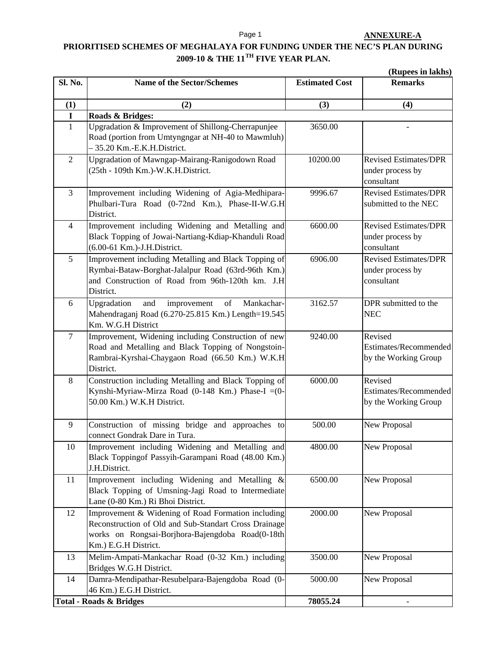Page 1

## **PRIORITISED SCHEMES OF MEGHALAYA FOR FUNDING UNDER THE NEC'S PLAN DURING 2009-10 & THE 11TH FIVE YEAR PLAN.**

**(Rupees in lakhs)**

| Sl. No.        | <b>Name of the Sector/Schemes</b>                                                                                                                                                       | <b>Estimated Cost</b> | (<br><b>Remarks</b>                                            |
|----------------|-----------------------------------------------------------------------------------------------------------------------------------------------------------------------------------------|-----------------------|----------------------------------------------------------------|
| (1)            | (2)                                                                                                                                                                                     | (3)                   | (4)                                                            |
| $\mathbf I$    | Roads & Bridges:                                                                                                                                                                        |                       |                                                                |
| $\mathbf{1}$   | Upgradation & Improvement of Shillong-Cherrapunjee<br>Road (portion from Umtyngngar at NH-40 to Mawmluh)<br>- 35.20 Km.-E.K.H.District.                                                 | 3650.00               |                                                                |
| $\overline{2}$ | Upgradation of Mawngap-Mairang-Ranigodown Road<br>(25th - 109th Km.)-W.K.H.District.                                                                                                    | 10200.00              | <b>Revised Estimates/DPR</b><br>under process by<br>consultant |
| 3              | Improvement including Widening of Agia-Medhipara-<br>Phulbari-Tura Road (0-72nd Km.), Phase-II-W.G.H<br>District.                                                                       | 9996.67               | <b>Revised Estimates/DPR</b><br>submitted to the NEC           |
| $\overline{4}$ | Improvement including Widening and Metalling and<br>Black Topping of Jowai-Nartiang-Kdiap-Khanduli Road<br>(6.00-61 Km.)-J.H.District.                                                  | 6600.00               | <b>Revised Estimates/DPR</b><br>under process by<br>consultant |
| 5              | Improvement including Metalling and Black Topping of<br>Rymbai-Bataw-Borghat-Jalalpur Road (63rd-96th Km.)<br>and Construction of Road from 96th-120th km. J.H<br>District.             | 6906.00               | <b>Revised Estimates/DPR</b><br>under process by<br>consultant |
| 6              | Upgradation<br>improvement<br>of<br>and<br>Mankachar-<br>Mahendraganj Road (6.270-25.815 Km.) Length=19.545<br>Km. W.G.H District                                                       | 3162.57               | DPR submitted to the<br><b>NEC</b>                             |
| $\tau$         | Improvement, Widening including Construction of new<br>Road and Metalling and Black Topping of Nongstoin-<br>Rambrai-Kyrshai-Chaygaon Road (66.50 Km.) W.K.H<br>District.               | 9240.00               | Revised<br>Estimates/Recommended<br>by the Working Group       |
| $8\,$          | Construction including Metalling and Black Topping of<br>Kynshi-Myriaw-Mirza Road (0-148 Km.) Phase-I = (0-<br>50.00 Km.) W.K.H District.                                               | 6000.00               | Revised<br>Estimates/Recommended<br>by the Working Group       |
| 9              | Construction of missing bridge and approaches to<br>connect Gondrak Dare in Tura.                                                                                                       | 500.00                | New Proposal                                                   |
| 10             | Improvement including Widening and Metalling and<br>Black Toppingof Passyih-Garampani Road (48.00 Km.)<br>J.H.District.                                                                 | 4800.00               | New Proposal                                                   |
| 11             | Improvement including Widening and Metalling &<br>Black Topping of Umsning-Jagi Road to Intermediate<br>Lane (0-80 Km.) Ri Bhoi District.                                               | 6500.00               | New Proposal                                                   |
| 12             | Improvement & Widening of Road Formation including<br>Reconstruction of Old and Sub-Standart Cross Drainage<br>works on Rongsai-Borjhora-Bajengdoba Road(0-18th<br>Km.) E.G.H District. | 2000.00               | New Proposal                                                   |
| 13             | Melim-Ampati-Mankachar Road (0-32 Km.) including<br>Bridges W.G.H District.                                                                                                             | 3500.00               | New Proposal                                                   |
| 14             | Damra-Mendipathar-Resubelpara-Bajengdoba Road (0-<br>46 Km.) E.G.H District.                                                                                                            | 5000.00               | New Proposal                                                   |
|                | <b>Total - Roads &amp; Bridges</b>                                                                                                                                                      | 78055.24              | $\qquad \qquad -$                                              |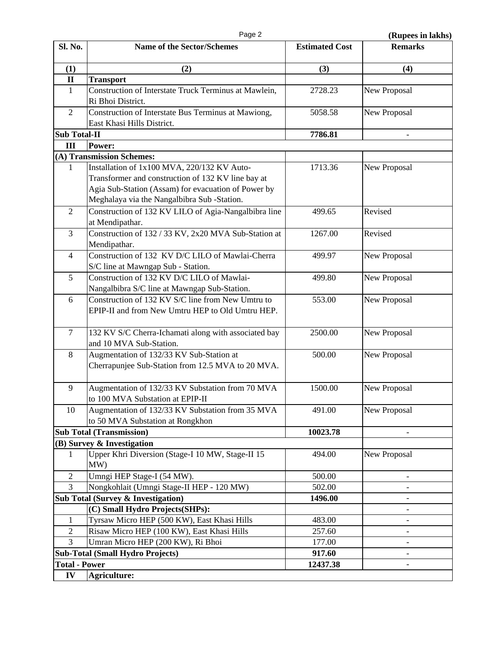Page 2 **(Rupees in lakhs)** 

| Sl. No.              | <b>Name of the Sector/Schemes</b>                     | <b>Estimated Cost</b> | <b>Remarks</b>           |
|----------------------|-------------------------------------------------------|-----------------------|--------------------------|
| (1)                  | (2)                                                   | (3)                   | (4)                      |
| $\mathbf{I}$         | <b>Transport</b>                                      |                       |                          |
| $\mathbf{1}$         | Construction of Interstate Truck Terminus at Mawlein, | 2728.23               | New Proposal             |
|                      | Ri Bhoi District.                                     |                       |                          |
| $\overline{2}$       | Construction of Interstate Bus Terminus at Mawiong,   | 5058.58               | New Proposal             |
|                      | East Khasi Hills District.                            |                       |                          |
| <b>Sub Total-II</b>  |                                                       | 7786.81               |                          |
| III                  | Power:                                                |                       |                          |
|                      | (A) Transmission Schemes:                             |                       |                          |
| 1                    | Installation of 1x100 MVA, 220/132 KV Auto-           | 1713.36               | New Proposal             |
|                      | Transformer and construction of 132 KV line bay at    |                       |                          |
|                      | Agia Sub-Station (Assam) for evacuation of Power by   |                       |                          |
|                      | Meghalaya via the Nangalbibra Sub -Station.           |                       |                          |
| $\overline{2}$       | Construction of 132 KV LILO of Agia-Nangalbibra line  | 499.65                | Revised                  |
|                      | at Mendipathar.                                       |                       |                          |
| 3                    | Construction of 132 / 33 KV, 2x20 MVA Sub-Station at  | 1267.00               | Revised                  |
|                      | Mendipathar.                                          |                       |                          |
| $\overline{4}$       | Construction of 132 KV D/C LILO of Mawlai-Cherra      | 499.97                | New Proposal             |
|                      | S/C line at Mawngap Sub - Station.                    |                       |                          |
| 5                    | Construction of 132 KV D/C LILO of Mawlai-            | 499.80                | New Proposal             |
|                      | Nangalbibra S/C line at Mawngap Sub-Station.          |                       |                          |
| 6                    | Construction of 132 KV S/C line from New Umtru to     | 553.00                | New Proposal             |
|                      | EPIP-II and from New Umtru HEP to Old Umtru HEP.      |                       |                          |
| $\overline{7}$       | 132 KV S/C Cherra-Ichamati along with associated bay  | 2500.00               |                          |
|                      | and 10 MVA Sub-Station.                               |                       | New Proposal             |
| 8                    | Augmentation of 132/33 KV Sub-Station at              | 500.00                | New Proposal             |
|                      | Cherrapunjee Sub-Station from 12.5 MVA to 20 MVA.     |                       |                          |
|                      |                                                       |                       |                          |
| 9                    | Augmentation of 132/33 KV Substation from 70 MVA      | 1500.00               | New Proposal             |
|                      | to 100 MVA Substation at EPIP-II                      |                       |                          |
| 10                   | Augmentation of 132/33 KV Substation from 35 MVA      | 491.00                | New Proposal             |
|                      | to 50 MVA Substation at Rongkhon                      |                       |                          |
|                      | <b>Sub Total (Transmission)</b>                       | 10023.78              |                          |
|                      | (B) Survey & Investigation                            |                       |                          |
| 1                    | Upper Khri Diversion (Stage-I 10 MW, Stage-II 15      | 494.00                | New Proposal             |
|                      | MW)                                                   |                       |                          |
| $\overline{2}$       | Umngi HEP Stage-I (54 MW).                            | 500.00                | $\overline{\phantom{a}}$ |
| 3                    | Nongkohlait (Umngi Stage-II HEP - 120 MW)             | 502.00                | $\overline{\phantom{a}}$ |
|                      | <b>Sub Total (Survey &amp; Investigation)</b>         | 1496.00               | $\overline{a}$           |
|                      | (C) Small Hydro Projects(SHPs):                       |                       |                          |
| $\mathbf{1}$         | Tyrsaw Micro HEP (500 KW), East Khasi Hills           | 483.00                |                          |
| $\overline{2}$       | Risaw Micro HEP (100 KW), East Khasi Hills            | 257.60                | -                        |
| 3                    | Umran Micro HEP (200 KW), Ri Bhoi                     | 177.00                | $\overline{\phantom{m}}$ |
|                      | <b>Sub-Total (Small Hydro Projects)</b>               | 917.60                |                          |
| <b>Total - Power</b> |                                                       | 12437.38              | $\overline{\phantom{m}}$ |
| IV                   | Agriculture:                                          |                       |                          |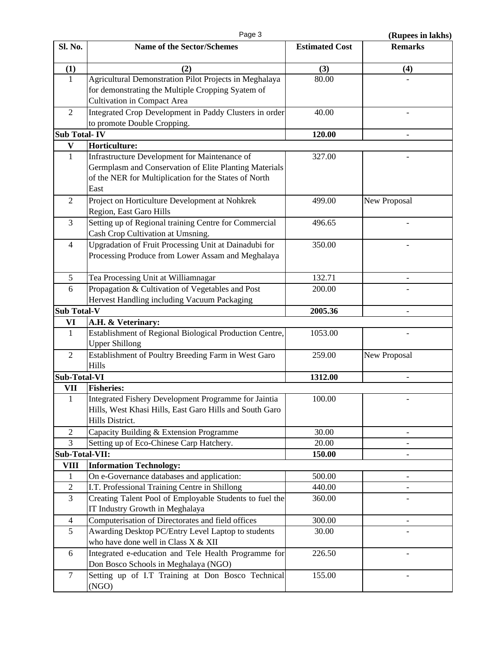Page 3 **(Rupees in lakhs)** 

| Sl. No.                                                  | <b>Name of the Sector/Schemes</b>                            | <b>Estimated Cost</b> | <b>Remarks</b>           |
|----------------------------------------------------------|--------------------------------------------------------------|-----------------------|--------------------------|
| (1)                                                      | (2)                                                          | (3)                   | (4)                      |
| $\mathbf{1}$                                             | Agricultural Demonstration Pilot Projects in Meghalaya       | 80.00                 |                          |
|                                                          | for demonstrating the Multiple Cropping Syatem of            |                       |                          |
|                                                          | <b>Cultivation in Compact Area</b>                           |                       |                          |
| $\overline{2}$                                           | Integrated Crop Development in Paddy Clusters in order       | 40.00                 |                          |
|                                                          | to promote Double Cropping.                                  |                       |                          |
| <b>Sub Total-IV</b>                                      |                                                              | 120.00                |                          |
| V                                                        | Horticulture:                                                |                       |                          |
| $\mathbf{1}$                                             | Infrastructure Development for Maintenance of                | 327.00                |                          |
|                                                          | Germplasm and Conservation of Elite Planting Materials       |                       |                          |
|                                                          | of the NER for Multiplication for the States of North        |                       |                          |
|                                                          | East                                                         |                       |                          |
| $\overline{2}$                                           | Project on Horticulture Development at Nohkrek               | 499.00                | New Proposal             |
|                                                          | Region, East Garo Hills                                      |                       |                          |
| 3                                                        | Setting up of Regional training Centre for Commercial        | 496.65                |                          |
|                                                          | Cash Crop Cultivation at Umsning.                            |                       |                          |
| $\overline{4}$                                           | Upgradation of Fruit Processing Unit at Dainadubi for        | 350.00                |                          |
|                                                          | Processing Produce from Lower Assam and Meghalaya            |                       |                          |
|                                                          |                                                              |                       |                          |
| 5                                                        | Tea Processing Unit at Williamnagar                          | 132.71                |                          |
| 6                                                        | Propagation & Cultivation of Vegetables and Post             | 200.00                |                          |
|                                                          | Hervest Handling including Vacuum Packaging                  |                       |                          |
| <b>Sub Total-V</b>                                       |                                                              | 2005.36               |                          |
| VI                                                       | A.H. & Veterinary:                                           |                       |                          |
| $\mathbf{1}$                                             | Establishment of Regional Biological Production Centre,      | 1053.00               |                          |
|                                                          | <b>Upper Shillong</b>                                        |                       |                          |
| $\overline{2}$                                           | Establishment of Poultry Breeding Farm in West Garo<br>Hills | 259.00                | New Proposal             |
|                                                          |                                                              |                       |                          |
| <b>Sub-Total-VI</b>                                      | <b>Fisheries:</b>                                            | 1312.00               |                          |
| VII                                                      | Integrated Fishery Development Programme for Jaintia         | 100.00                |                          |
| $\mathbf{1}$                                             | Hills, West Khasi Hills, East Garo Hills and South Garo      |                       |                          |
|                                                          | Hills District.                                              |                       |                          |
| $\mathfrak{2}$                                           | Capacity Building & Extension Programme                      | 30.00                 | $\overline{\phantom{m}}$ |
| 3                                                        | Setting up of Eco-Chinese Carp Hatchery.                     | 20.00                 | $\qquad \qquad -$        |
|                                                          |                                                              | 150.00                |                          |
| Sub-Total-VII:<br><b>Information Technology:</b><br>VIII |                                                              |                       |                          |
| $\mathbf{1}$                                             | On e-Governance databases and application:                   | 500.00                |                          |
| $\sqrt{2}$                                               | I.T. Professional Training Centre in Shillong                | 440.00                | $\overline{\phantom{a}}$ |
| 3                                                        | Creating Talent Pool of Employable Students to fuel the      | 360.00                |                          |
|                                                          | IT Industry Growth in Meghalaya                              |                       |                          |
| $\overline{4}$                                           | Computerisation of Directorates and field offices            | 300.00                |                          |
| 5                                                        | Awarding Desktop PC/Entry Level Laptop to students           | 30.00                 |                          |
|                                                          | who have done well in Class X & XII                          |                       |                          |
| 6                                                        | Integrated e-education and Tele Health Programme for         | 226.50                |                          |
|                                                          | Don Bosco Schools in Meghalaya (NGO)                         |                       |                          |
| $\tau$                                                   | Setting up of I.T Training at Don Bosco Technical            | 155.00                |                          |
|                                                          | (NGO)                                                        |                       |                          |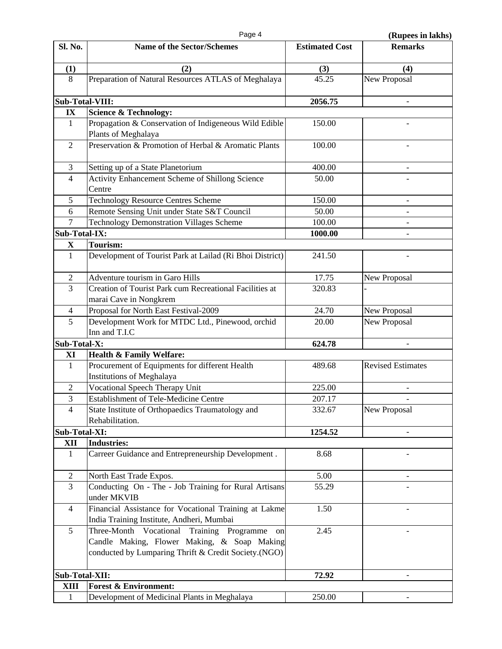Page 4 **(Rupes in lakhs)** 

| Sl. No.                | <b>Name of the Sector/Schemes</b>                                                  | <b>Estimated Cost</b> | (ларссэ ш кимв)<br><b>Remarks</b> |
|------------------------|------------------------------------------------------------------------------------|-----------------------|-----------------------------------|
|                        |                                                                                    |                       |                                   |
| (1)                    | (2)                                                                                | (3)                   | (4)                               |
| 8                      | Preparation of Natural Resources ATLAS of Meghalaya                                | 45.25                 | New Proposal                      |
|                        |                                                                                    |                       |                                   |
| <b>Sub-Total-VIII:</b> |                                                                                    | 2056.75               |                                   |
| IX                     | <b>Science &amp; Technology:</b>                                                   |                       |                                   |
| $\mathbf{1}$           | Propagation & Conservation of Indigeneous Wild Edible                              | 150.00                |                                   |
|                        | Plants of Meghalaya                                                                |                       |                                   |
| $\overline{2}$         | Preservation & Promotion of Herbal & Aromatic Plants                               | 100.00                |                                   |
|                        |                                                                                    |                       |                                   |
| 3                      | Setting up of a State Planetorium                                                  | 400.00                | $\overline{\phantom{a}}$          |
| $\overline{4}$         | Activity Enhancement Scheme of Shillong Science                                    | 50.00                 |                                   |
|                        | Centre                                                                             |                       |                                   |
| 5                      | <b>Technology Resource Centres Scheme</b>                                          | 150.00                | $\overline{\phantom{0}}$          |
| 6                      | Remote Sensing Unit under State S&T Council                                        | 50.00                 | $\qquad \qquad -$                 |
| $\overline{7}$         | <b>Technology Demonstration Villages Scheme</b>                                    | 100.00                |                                   |
| Sub-Total-IX:          |                                                                                    | 1000.00               |                                   |
| $\mathbf X$            | Tourism:                                                                           |                       |                                   |
| $\mathbf{1}$           | Development of Tourist Park at Lailad (Ri Bhoi District)                           | 241.50                | $\overline{\phantom{a}}$          |
|                        |                                                                                    |                       |                                   |
| $\mathfrak{2}$         | Adventure tourism in Garo Hills                                                    | 17.75                 | New Proposal                      |
| $\overline{3}$         | Creation of Tourist Park cum Recreational Facilities at                            | 320.83                |                                   |
|                        | marai Cave in Nongkrem                                                             |                       |                                   |
| 4                      | Proposal for North East Festival-2009                                              | 24.70                 | New Proposal                      |
| 5                      | Development Work for MTDC Ltd., Pinewood, orchid                                   | 20.00                 | New Proposal                      |
|                        | Inn and T.I.C                                                                      |                       |                                   |
| Sub-Total-X:           |                                                                                    | 624.78                |                                   |
| XI<br>$\mathbf{1}$     | Health & Family Welfare:                                                           |                       |                                   |
|                        | Procurement of Equipments for different Health<br><b>Institutions of Meghalaya</b> | 489.68                | <b>Revised Estimates</b>          |
| $\mathbf{2}$           | Vocational Speech Therapy Unit                                                     | 225.00                |                                   |
| 3                      | <b>Establishment of Tele-Medicine Centre</b>                                       | 207.17                |                                   |
| 4                      | State Institute of Orthopaedics Traumatology and                                   | 332.67                | New Proposal                      |
|                        | Rehabilitation.                                                                    |                       |                                   |
| Sub-Total-XI:          |                                                                                    | 1254.52               | -                                 |
| XII                    | <b>Industries:</b>                                                                 |                       |                                   |
| $\mathbf{1}$           | Carreer Guidance and Entrepreneurship Development.                                 | 8.68                  |                                   |
|                        |                                                                                    |                       |                                   |
| $\overline{2}$         | North East Trade Expos.                                                            | 5.00                  | -                                 |
| 3                      | Conducting On - The - Job Training for Rural Artisans                              | 55.29                 |                                   |
|                        | under MKVIB                                                                        |                       |                                   |
| 4                      | Financial Assistance for Vocational Training at Lakme                              | 1.50                  |                                   |
|                        | India Training Institute, Andheri, Mumbai                                          |                       |                                   |
| 5                      | Three-Month Vocational Training Programme<br>on                                    | 2.45                  |                                   |
|                        | Candle Making, Flower Making, & Soap Making                                        |                       |                                   |
|                        | conducted by Lumparing Thrift & Credit Society.(NGO)                               |                       |                                   |
|                        |                                                                                    |                       |                                   |
| Sub-Total-XII:         |                                                                                    | 72.92                 | $\overline{\phantom{a}}$          |
| <b>XIII</b>            | <b>Forest &amp; Environment:</b>                                                   |                       |                                   |
| $\mathbf{1}$           | Development of Medicinal Plants in Meghalaya                                       | 250.00                |                                   |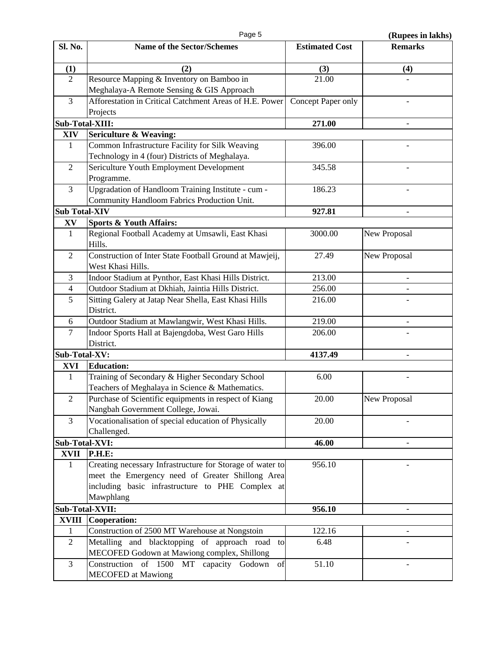| Sl. No.                | <b>Name of the Sector/Schemes</b>                                            | <b>Estimated Cost</b> | <b>Remarks</b>      |
|------------------------|------------------------------------------------------------------------------|-----------------------|---------------------|
| (1)                    | (2)                                                                          | (3)                   | (4)                 |
| $\overline{2}$         | Resource Mapping & Inventory on Bamboo in                                    | 21.00                 |                     |
|                        | Meghalaya-A Remote Sensing & GIS Approach                                    |                       |                     |
| 3                      | Afforestation in Critical Catchment Areas of H.E. Power                      | Concept Paper only    |                     |
|                        | Projects                                                                     |                       |                     |
| Sub-Total-XIII:        |                                                                              | 271.00                |                     |
| XIV                    | <b>Sericulture &amp; Weaving:</b>                                            |                       |                     |
| $\mathbf{1}$           | Common Infrastructure Facility for Silk Weaving                              | 396.00                |                     |
|                        | Technology in 4 (four) Districts of Meghalaya.                               |                       |                     |
| $\sqrt{2}$             | Sericulture Youth Employment Development                                     | 345.58                |                     |
|                        | Programme.                                                                   |                       |                     |
| $\overline{3}$         | Upgradation of Handloom Training Institute - cum -                           | 186.23                |                     |
|                        | Community Handloom Fabrics Production Unit.                                  |                       |                     |
| <b>Sub Total-XIV</b>   |                                                                              | 927.81                |                     |
| $\mathbf{X}\mathbf{V}$ | <b>Sports &amp; Youth Affairs:</b>                                           |                       |                     |
| $\mathbf{1}$           | Regional Football Academy at Umsawli, East Khasi<br>Hills.                   | 3000.00               | <b>New Proposal</b> |
| $\overline{2}$         | Construction of Inter State Football Ground at Mawjeij,<br>West Khasi Hills. | 27.49                 | <b>New Proposal</b> |
| 3                      | Indoor Stadium at Pynthor, East Khasi Hills District.                        | 213.00                |                     |
| $\overline{4}$         | Outdoor Stadium at Dkhiah, Jaintia Hills District.                           | 256.00                |                     |
| $\overline{5}$         | Sitting Galery at Jatap Near Shella, East Khasi Hills                        | 216.00                |                     |
|                        | District.                                                                    |                       |                     |
| 6                      | Outdoor Stadium at Mawlangwir, West Khasi Hills.                             | 219.00                |                     |
| 7                      | Indoor Sports Hall at Bajengdoba, West Garo Hills                            | 206.00                |                     |
|                        | District.                                                                    |                       |                     |
| <b>Sub-Total-XV:</b>   |                                                                              | 4137.49               | $\qquad \qquad -$   |
| <b>XVI</b>             | <b>Education:</b>                                                            |                       |                     |
| 1                      | Training of Secondary & Higher Secondary School                              | 6.00                  |                     |
|                        | Teachers of Meghalaya in Science & Mathematics.                              |                       |                     |
| $\boldsymbol{2}$       | Purchase of Scientific equipments in respect of Kiang                        | 20.00                 | <b>New Proposal</b> |
|                        | Nangbah Government College, Jowai.                                           |                       |                     |
| 3                      | Vocationalisation of special education of Physically                         | 20.00                 |                     |
|                        | Challenged.                                                                  |                       |                     |
| Sub-Total-XVI:         |                                                                              | 46.00                 |                     |
| <b>XVII</b>            | <b>P.H.E:</b>                                                                |                       |                     |
| 1                      | Creating necessary Infrastructure for Storage of water to                    | 956.10                |                     |
|                        | meet the Emergency need of Greater Shillong Area                             |                       |                     |
|                        | including basic infrastructure to PHE Complex at                             |                       |                     |
|                        | Mawphlang                                                                    |                       |                     |
|                        | Sub-Total-XVII:                                                              | 956.10                |                     |
| <b>XVIII</b>           | <b>Cooperation:</b>                                                          |                       |                     |
| $\mathbf{1}$           | Construction of 2500 MT Warehouse at Nongstoin                               | 122.16                |                     |
| $\overline{2}$         | Metalling and blacktopping of approach road to                               | 6.48                  |                     |
|                        | MECOFED Godown at Mawiong complex, Shillong                                  |                       |                     |
| 3                      | Construction of 1500 MT capacity Godown<br>of                                | 51.10                 |                     |
|                        | <b>MECOFED</b> at Mawiong                                                    |                       |                     |